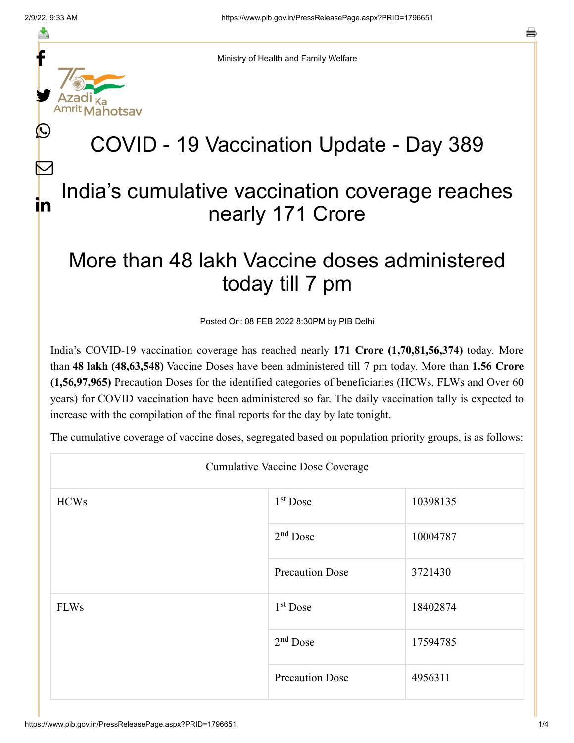f

≛

y.

lahotsav

L

 $\bm{\nabla}$ 

in

s

Ministry of Health and Family Welfare

## COVID - 19 Vaccination Update - Day 389

## India's cumulative vaccination coverage reaches nearly 171 Crore

## More than 48 lakh Vaccine doses administered today till 7 pm

Posted On: 08 FEB 2022 8:30PM by PIB Delhi

India's COVID-19 vaccination coverage has reached nearly **171 Crore (1,70,81,56,374)** today. More than **48 lakh (48,63,548)** Vaccine Doses have been administered till 7 pm today. More than **1.56 Crore (1,56,97,965)** Precaution Doses for the identified categories of beneficiaries (HCWs, FLWs and Over 60 years) for COVID vaccination have been administered so far. The daily vaccination tally is expected to increase with the compilation of the final reports for the day by late tonight.

The cumulative coverage of vaccine doses, segregated based on population priority groups, is as follows:

| <b>Cumulative Vaccine Dose Coverage</b> |                        |          |  |  |
|-----------------------------------------|------------------------|----------|--|--|
| <b>HCWs</b>                             | 1 <sup>st</sup> Dose   | 10398135 |  |  |
|                                         | $2nd$ Dose             | 10004787 |  |  |
|                                         | <b>Precaution Dose</b> | 3721430  |  |  |
| <b>FLWs</b>                             | 1 <sup>st</sup> Dose   | 18402874 |  |  |
|                                         | $2nd$ Dose             | 17594785 |  |  |
|                                         | <b>Precaution Dose</b> | 4956311  |  |  |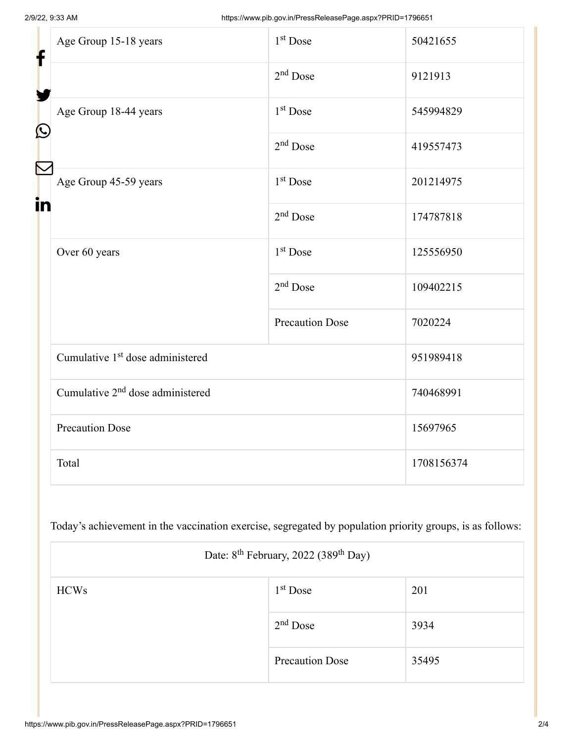| f<br>$\bf \Omega$<br>in | Age Group 15-18 years                                     | $1st$ Dose             | 50421655   |
|-------------------------|-----------------------------------------------------------|------------------------|------------|
|                         |                                                           | $2nd$ Dose             | 9121913    |
|                         | Age Group 18-44 years                                     | 1 <sup>st</sup> Dose   | 545994829  |
|                         |                                                           | $2nd$ Dose             | 419557473  |
|                         | Age Group 45-59 years                                     | 1 <sup>st</sup> Dose   | 201214975  |
|                         |                                                           | $2nd$ Dose             | 174787818  |
|                         | Over 60 years                                             | 1 <sup>st</sup> Dose   | 125556950  |
|                         |                                                           | $2nd$ Dose             | 109402215  |
|                         |                                                           | <b>Precaution Dose</b> | 7020224    |
|                         | Cumulative 1 <sup>st</sup> dose administered              |                        | 951989418  |
|                         | Cumulative 2 <sup>nd</sup> dose administered<br>740468991 |                        |            |
|                         | <b>Precaution Dose</b>                                    |                        | 15697965   |
|                         | Total                                                     |                        | 1708156374 |

Today's achievement in the vaccination exercise, segregated by population priority groups, is as follows:

| Date: 8 <sup>th</sup> February, 2022 (389 <sup>th</sup> Day) |                        |       |  |
|--------------------------------------------------------------|------------------------|-------|--|
| <b>HCWs</b>                                                  | $1st$ Dose             | 201   |  |
|                                                              | $2nd$ Dose             | 3934  |  |
|                                                              | <b>Precaution Dose</b> | 35495 |  |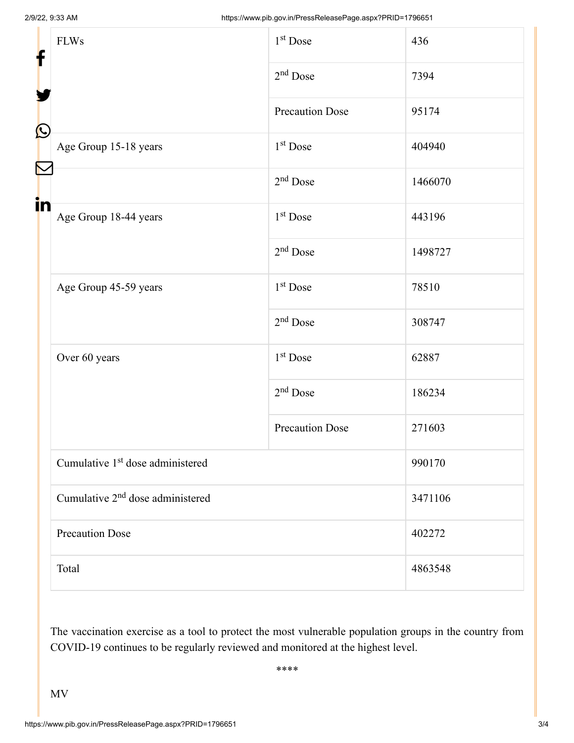| f            | <b>FLWs</b>                                  | $1st$ Dose             | 436     |  |
|--------------|----------------------------------------------|------------------------|---------|--|
|              |                                              | $2nd$ Dose             | 7394    |  |
|              |                                              | <b>Precaution Dose</b> | 95174   |  |
| $\bf \Omega$ | Age Group 15-18 years                        | 1 <sup>st</sup> Dose   | 404940  |  |
|              |                                              | $2nd$ Dose             | 1466070 |  |
| in           | Age Group 18-44 years                        | $1st$ Dose             | 443196  |  |
|              |                                              | $2nd$ Dose             | 1498727 |  |
|              | Age Group 45-59 years                        | 1 <sup>st</sup> Dose   | 78510   |  |
|              |                                              | $2nd$ Dose             | 308747  |  |
|              | Over 60 years                                | 1 <sup>st</sup> Dose   | 62887   |  |
|              |                                              | $2nd$ Dose             | 186234  |  |
|              |                                              | <b>Precaution Dose</b> | 271603  |  |
|              | Cumulative 1 <sup>st</sup> dose administered |                        | 990170  |  |
|              | Cumulative 2 <sup>nd</sup> dose administered |                        | 3471106 |  |
|              | <b>Precaution Dose</b>                       |                        | 402272  |  |
|              | Total                                        |                        | 4863548 |  |

The vaccination exercise as a tool to protect the most vulnerable population groups in the country from COVID-19 continues to be regularly reviewed and monitored at the highest level.

\*\*\*\*

MV